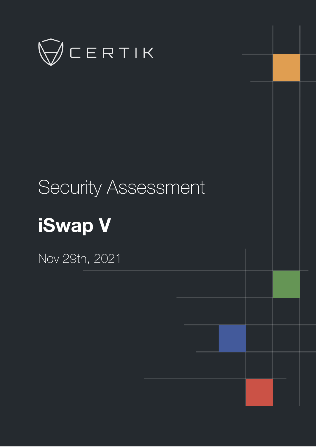

# Security Assessment **iSwap V**

Nov 29th, 2021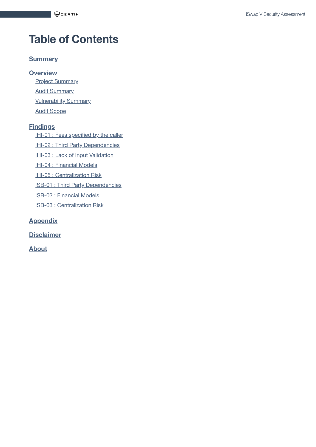# **Table of Contents**

#### **[Summary](#page-2-0)**

**[Overview](#page-3-0)**

**Project [Summary](#page-3-1) Audit [Summary](#page-3-2) [Vulnerability Summary](#page-3-3)** Audit [Scope](#page-4-0)

#### **[Findings](#page-5-0)**

IHI-01 : [Fees specified](#page-6-0) by the caller

IHI-02 : Third [Party Dependencies](#page-7-0)

IHI-03 : Lack of Input [Validation](#page-8-0)

IHI-04 : [Financial](#page-9-0) Models

IHI-05 : [Centralization](#page-11-0) Risk

ISB-01 : Third [Party Dependencies](#page-13-0)

ISB-02 : [Financial](#page-14-0) Models

ISB-03 : [Centralization](#page-16-0) Risk

**[Appendix](#page-18-0)**

**[Disclaimer](#page-19-0)**

**[About](#page-22-0)**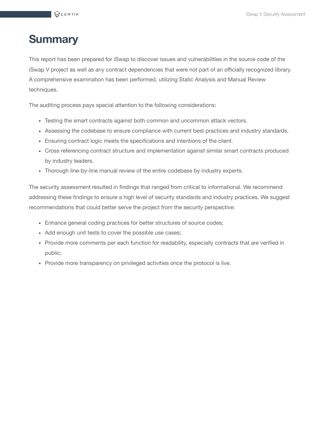# <span id="page-2-0"></span>**Summary**

This report has been prepared for iSwap to discover issues and vulnerabilities in the source code of the iSwap V project as well as any contract dependencies that were not part of an officially recognized library. A comprehensive examination has been performed, utilizing Static Analysis and Manual Review techniques.

The auditing process pays special attention to the following considerations:

- Testing the smart contracts against both common and uncommon attack vectors.
- Assessing the codebase to ensure compliance with current best practices and industry standards.
- Ensuring contract logic meets the specifications and intentions of the client.
- Cross referencing contract structure and implementation against similar smart contracts produced by industry leaders.
- Thorough line-by-line manual review of the entire codebase by industry experts.

The security assessment resulted in findings that ranged from critical to informational. We recommend addressing these findings to ensure a high level of security standards and industry practices. We suggest recommendations that could better serve the project from the security perspective:

- Enhance general coding practices for better structures of source codes;
- Add enough unit tests to cover the possible use cases;
- Provide more comments per each function for readability, especially contracts that are verified in public;
- Provide more transparency on privileged activities once the protocol is live.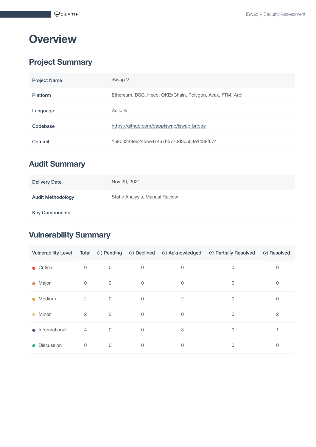# <span id="page-3-0"></span>**Overview**

# <span id="page-3-1"></span>**Project Summary**

| <b>Project Name</b> | iSwap V                                                  |
|---------------------|----------------------------------------------------------|
| <b>Platform</b>     | Ethereum, BSC, Heco, OKExChain, Polygon, Avax, FTM, Arbi |
| Language            | Solidity                                                 |
| Codebase            | https://github.com/dappiswap/iswap-bridge                |
| Commit              | 159b0249e6245be474a7b5773d3c554e1438f674                 |

# <span id="page-3-2"></span>**Audit Summary**

| <b>Delivery Date</b>     | Nov 29, 2021                   |
|--------------------------|--------------------------------|
| <b>Audit Methodology</b> | Static Analysis, Manual Review |
| <b>Key Components</b>    |                                |

# <span id="page-3-3"></span>**Vulnerability Summary**

| <b>Vulnerability Level</b> |                | Total ① Pending | ⊗ Declined  | (i) Acknowledged | <sup>1</sup> Partially Resolved | ⊙ Resolved |
|----------------------------|----------------|-----------------|-------------|------------------|---------------------------------|------------|
| Critical                   | 0              | $\mathbf 0$     | 0           | 0                | 0                               | 0          |
| • Major                    | $\mathbf 0$    | $\mathbf 0$     | $\mathbf 0$ | $\mathbf 0$      | 0                               | 0          |
| • Medium                   | $\overline{2}$ | $\mathbf 0$     | $\mathbf 0$ | $\overline{2}$   | 0                               | 0          |
| Minor<br>$\bullet$         | $\overline{2}$ | $\mathbf 0$     | $\Omega$    | $\mathbf 0$      | 0                               | 2          |
| $\bullet$ Informational    | $\overline{4}$ | $\mathbf 0$     | $\Omega$    | 3                | $\Omega$                        |            |
| Discussion                 | $\mathbf 0$    | $\mathbf 0$     | $\mathbf 0$ | 0                | 0                               | 0          |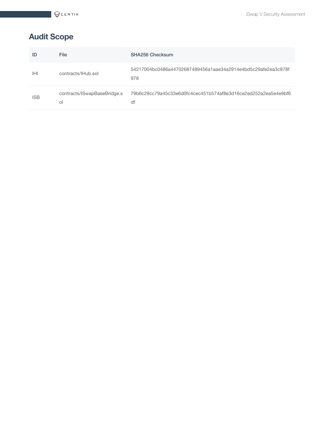# <span id="page-4-0"></span>**Audit Scope**

| ID         | <b>File</b>                                 | <b>SHA256 Checksum</b>                                               |
|------------|---------------------------------------------|----------------------------------------------------------------------|
| IHI        | contracts/IHub.sol                          | 54217004bc0486a44702687489456a1aae34a2914e4bd5c29afe2ea3c878f<br>978 |
| <b>ISB</b> | contracts/ISwapBaseBridge.s<br><sup>o</sup> | 79b6c29cc79a45c33e6d0fc4cec451b574af8e3d16ce2ed252a2ea5e4e9bf6<br>df |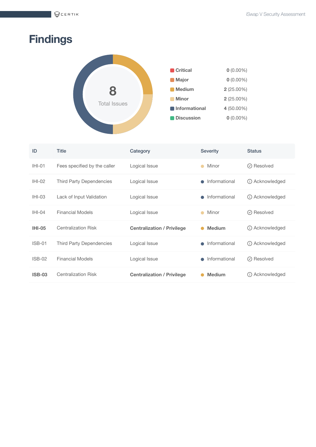$QCERTIK$ 

# <span id="page-5-0"></span>**Findings**



| ID            | <b>Title</b>                    | Category                          | <b>Severity</b> | <b>Status</b>       |
|---------------|---------------------------------|-----------------------------------|-----------------|---------------------|
| $IHI-01$      | Fees specified by the caller    | Logical Issue                     | Minor           | $\odot$ Resolved    |
| $IHI-02$      | <b>Third Party Dependencies</b> | Logical Issue                     | Informational   | (i) Acknowledged    |
| $IHI-03$      | Lack of Input Validation        | Logical Issue                     | Informational   | (i) Acknowledged    |
| $IHI-04$      | <b>Financial Models</b>         | Logical Issue                     | Minor           | $\odot$ Resolved    |
| <b>IHI-05</b> | <b>Centralization Risk</b>      | <b>Centralization / Privilege</b> | <b>Medium</b>   | (i) Acknowledged    |
| $ISBN-01$     | Third Party Dependencies        | Logical Issue                     | Informational   | (i) Acknowledged    |
| $ISB-02$      | <b>Financial Models</b>         | Logical Issue                     | Informational   | $\oslash$ Resolved  |
| <b>ISB-03</b> | <b>Centralization Risk</b>      | <b>Centralization / Privilege</b> | <b>Medium</b>   | Acknowledged<br>(i) |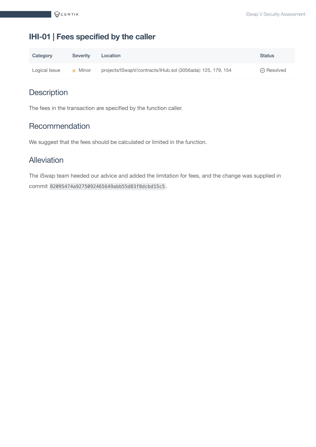# <span id="page-6-0"></span>**IHI-01 | Fees specified by the caller**

| Category      | <b>Severity</b> | Location                                                    | <b>Status</b>      |
|---------------|-----------------|-------------------------------------------------------------|--------------------|
| Logical Issue | Minor           | projects/ISwapV/contracts/IHub.sol (3056ada): 125, 179, 154 | $\oslash$ Resolved |

# **Description**

The fees in the transaction are specified by the function caller.

# **Recommendation**

We suggest that the fees should be calculated or limited in the function.

# Alleviation

The iSwap team heeded our advice and added the limitation for fees, and the change was supplied in commit 82095474a9275092465649abb55d83f8dcbd15c5 .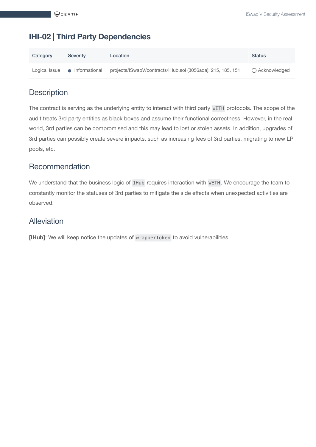# <span id="page-7-0"></span>**IHI-02 | Third Party Dependencies**

| Category      | Severity        | Location                                                    | <b>Status</b>    |
|---------------|-----------------|-------------------------------------------------------------|------------------|
| Logical Issue | • Informational | projects/ISwapV/contracts/IHub.sol (3056ada): 215, 185, 151 | (i) Acknowledged |

# **Description**

The contract is serving as the underlying entity to interact with third party WETH protocols. The scope of the audit treats 3rd party entities as black boxes and assume their functional correctness. However, in the real world, 3rd parties can be compromised and this may lead to lost or stolen assets. In addition, upgrades of 3rd parties can possibly create severe impacts, such as increasing fees of 3rd parties, migrating to new LP pools, etc.

## Recommendation

We understand that the business logic of IHub requires interaction with WETH. We encourage the team to constantly monitor the statuses of 3rd parties to mitigate the side effects when unexpected activities are observed.

### Alleviation

**[IHub]**: We will keep notice the updates of wrapperToken to avoid vulnerabilities.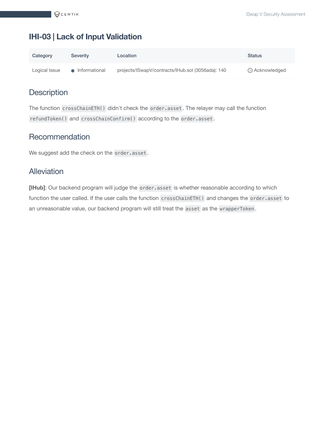# <span id="page-8-0"></span>**IHI-03 | Lack of Input Validation**

| Category      | Severity        | Location                                          | <b>Status</b>    |
|---------------|-----------------|---------------------------------------------------|------------------|
| Logical Issue | • Informational | projects/ISwapV/contracts/IHub.sol (3056ada): 140 | (i) Acknowledged |

# **Description**

The function crossChainETH() didn't check the order.asset . The relayer may call the function refundToken() and crossChainConfirm() according to the order.asset .

## Recommendation

We suggest add the check on the order.asset.

#### Alleviation

**[IHub]**: Our backend program will judge the order.asset is whether reasonable according to which function the user called. If the user calls the function crossChainETH() and changes the order.asset to an unreasonable value, our backend program will still treat the asset as the wrapperToken .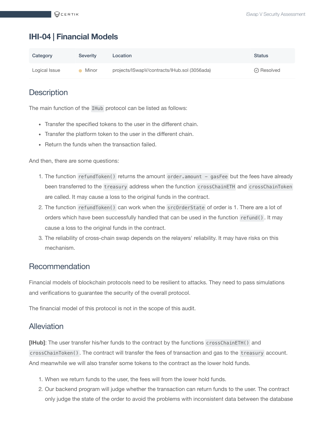# <span id="page-9-0"></span>**IHI-04 | Financial Models**

| Category      | Severity | Location                                     | <b>Status</b>      |
|---------------|----------|----------------------------------------------|--------------------|
| Logical Issue | Minor    | projects/ISwapV/contracts/IHub.sol (3056ada) | $\oslash$ Resolved |

# **Description**

The main function of the IHub protocol can be listed as follows:

- Transfer the specified tokens to the user in the different chain.
- Transfer the platform token to the user in the different chain.
- Return the funds when the transaction failed.

And then, there are some questions:

- 1. The function refundToken() returns the amount order.amount gasFee but the fees have already been transferred to the treasury address when the function crossChainETH and crossChainToken are called. It may cause a loss to the original funds in the contract.
- 2. The function refundToken() can work when the srcOrderState of order is 1. There are a lot of orders which have been successfully handled that can be used in the function refund() . It may cause a loss to the original funds in the contract.
- 3. The reliability of cross-chain swap depends on the relayers' reliability. It may have risks on this mechanism.

#### Recommendation

Financial models of blockchain protocols need to be resilient to attacks. They need to pass simulations and verifications to guarantee the security of the overall protocol.

The financial model of this protocol is not in the scope of this audit.

#### Alleviation

**[IHub]**: The user transfer his/her funds to the contract by the functions crossChainETH() and crossChainToken() . The contract will transfer the fees of transaction and gas to the treasury account. And meanwhile we will also transfer some tokens to the contract as the lower hold funds.

- 1. When we return funds to the user, the fees will from the lower hold funds.
- 2. Our backend program will judge whether the transaction can return funds to the user. The contract only judge the state of the order to avoid the problems with inconsistent data between the database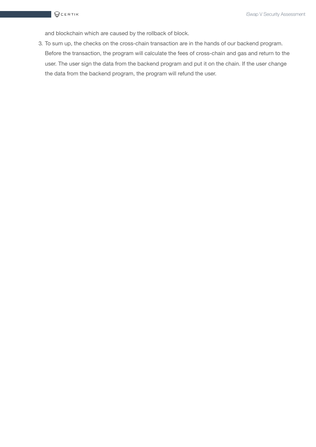and blockchain which are caused by the rollback of block.

3. To sum up, the checks on the cross-chain transaction are in the hands of our backend program. Before the transaction, the program will calculate the fees of cross-chain and gas and return to the user. The user sign the data from the backend program and put it on the chain. If the user change the data from the backend program, the program will refund the user.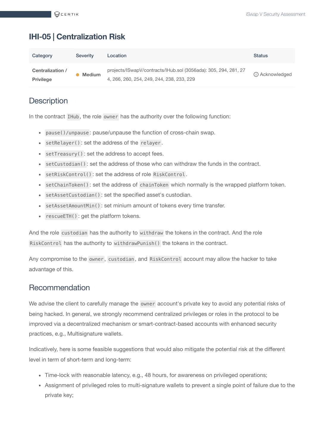# <span id="page-11-0"></span>**IHI-05 | Centralization Risk**

| Category                             | Severity      | Location                                                                                                     | <b>Status</b>    |
|--------------------------------------|---------------|--------------------------------------------------------------------------------------------------------------|------------------|
| Centralization /<br><b>Privilege</b> | <b>Medium</b> | projects/ISwapV/contracts/IHub.sol (3056ada): 305, 294, 281, 27<br>4, 266, 260, 254, 249, 244, 238, 233, 229 | (i) Acknowledged |

# **Description**

In the contract IHub , the role owner has the authority over the following function:

- pause()/unpause : pause/unpause the function of cross-chain swap.
- setRelayer() : set the address of the relayer .
- setTreasury() : set the address to accept fees.
- setCustodian() : set the address of those who can withdraw the funds in the contract.
- setRiskControl() : set the address of role RiskControl .
- setChainToken() : set the address of chainToken which normally is the wrapped platform token.
- setAssetCustodian() : set the specified asset's custodian.
- setAssetAmountMin() : set minium amount of tokens every time transfer.
- rescueETH() : get the platform tokens.

And the role custodian has the authority to withdraw the tokens in the contract. And the role RiskControl has the authority to withdrawPunish() the tokens in the contract.

Any compromise to the owner , custodian , and RiskControl account may allow the hacker to take advantage of this.

#### Recommendation

We advise the client to carefully manage the owner account's private key to avoid any potential risks of being hacked. In general, we strongly recommend centralized privileges or roles in the protocol to be improved via a decentralized mechanism or smart-contract-based accounts with enhanced security practices, e.g., Multisignature wallets.

Indicatively, here is some feasible suggestions that would also mitigate the potential risk at the different level in term of short-term and long-term:

- Time-lock with reasonable latency, e.g., 48 hours, for awareness on privileged operations;
- Assignment of privileged roles to multi-signature wallets to prevent a single point of failure due to the private key;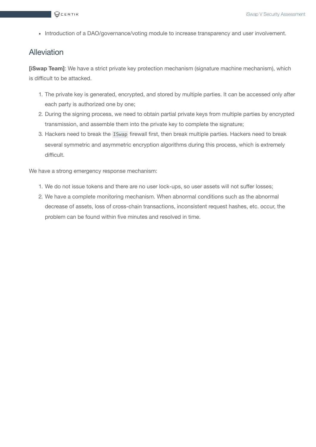• Introduction of a DAO/governance/voting module to increase transparency and user involvement.

## Alleviation

**[iSwap Team]**: We have a strict private key protection mechanism (signature machine mechanism), which is difficult to be attacked.

- 1. The private key is generated, encrypted, and stored by multiple parties. It can be accessed only after each party is authorized one by one;
- 2. During the signing process, we need to obtain partial private keys from multiple parties by encrypted transmission, and assemble them into the private key to complete the signature;
- 3. Hackers need to break the ISwap firewall first, then break multiple parties. Hackers need to break several symmetric and asymmetric encryption algorithms during this process, which is extremely difficult.

We have a strong emergency response mechanism:

- 1. We do not issue tokens and there are no user lock-ups, so user assets will not suffer losses;
- 2. We have a complete monitoring mechanism. When abnormal conditions such as the abnormal decrease of assets, loss of cross-chain transactions, inconsistent request hashes, etc. occur, the problem can be found within five minutes and resolved in time.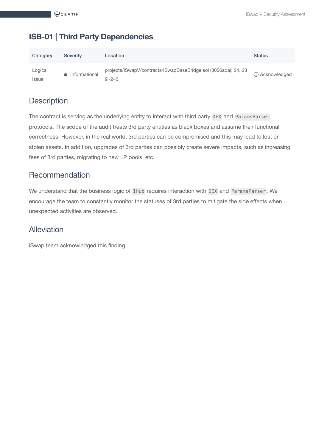## <span id="page-13-0"></span>**ISB-01 | Third Party Dependencies**

| Category                       | <b>Severity</b> | Location                                                                     | <b>Status</b>    |
|--------------------------------|-----------------|------------------------------------------------------------------------------|------------------|
| Logical<br><i><b>Issue</b></i> | Informational   | projects/ISwapV/contracts/ISwapBaseBridge.sol (3056ada): 24, 23<br>$9 - 240$ | (i) Acknowledged |

## **Description**

The contract is serving as the underlying entity to interact with third party DEX and ParamsParser protocols. The scope of the audit treats 3rd party entities as black boxes and assume their functional correctness. However, in the real world, 3rd parties can be compromised and this may lead to lost or stolen assets. In addition, upgrades of 3rd parties can possibly create severe impacts, such as increasing fees of 3rd parties, migrating to new LP pools, etc.

#### Recommendation

We understand that the business logic of IHub requires interaction with DEX and ParamsParser . We encourage the team to constantly monitor the statuses of 3rd parties to mitigate the side effects when unexpected activities are observed.

#### Alleviation

iSwap team acknowledged this finding.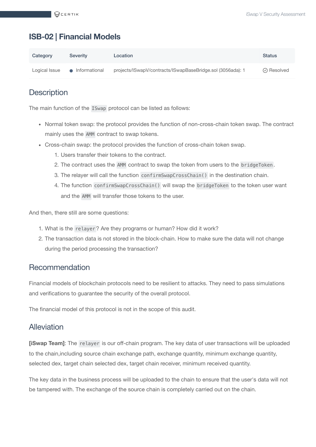## <span id="page-14-0"></span>**ISB-02 | Financial Models**

| Category      | <b>Severity</b> | Location                                                   | <b>Status</b>      |
|---------------|-----------------|------------------------------------------------------------|--------------------|
| Logical Issue | • Informational | projects/ISwapV/contracts/ISwapBaseBridge.sol (3056ada): 1 | $\oslash$ Resolved |

# **Description**

The main function of the ISwap protocol can be listed as follows:

- Normal token swap: the protocol provides the function of non-cross-chain token swap. The contract mainly uses the AMM contract to swap tokens.
- Cross-chain swap: the protocol provides the function of cross-chain token swap.
	- 1. Users transfer their tokens to the contract.
	- 2. The contract uses the AMM contract to swap the token from users to the bridgeToken .
	- 3. The relayer will call the function confirmSwapCrossChain() in the destination chain.
	- 4. The function confirmSwapCrossChain() will swap the bridgeToken to the token user want and the AMM will transfer those tokens to the user.

And then, there still are some questions:

- 1. What is the relayer ? Are they programs or human? How did it work?
- 2. The transaction data is not stored in the block-chain. How to make sure the data will not change during the period processing the transaction?

#### Recommendation

Financial models of blockchain protocols need to be resilient to attacks. They need to pass simulations and verifications to guarantee the security of the overall protocol.

The financial model of this protocol is not in the scope of this audit.

#### Alleviation

**[iSwap Team]**: The relayer is our off-chain program. The key data of user transactions will be uploaded to the chain,including source chain exchange path, exchange quantity, minimum exchange quantity, selected dex, target chain selected dex, target chain receiver, minimum received quantity.

The key data in the business process will be uploaded to the chain to ensure that the user's data will not be tampered with. The exchange of the source chain is completely carried out on the chain.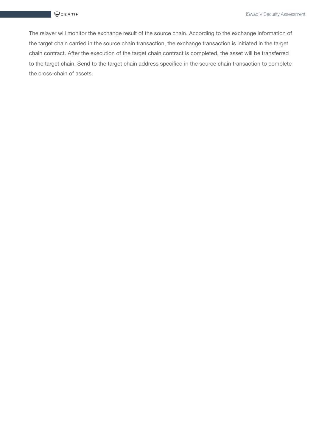The relayer will monitor the exchange result of the source chain. According to the exchange information of the target chain carried in the source chain transaction, the exchange transaction is initiated in the target chain contract. After the execution of the target chain contract is completed, the asset will be transferred to the target chain. Send to the target chain address specified in the source chain transaction to complete the cross-chain of assets.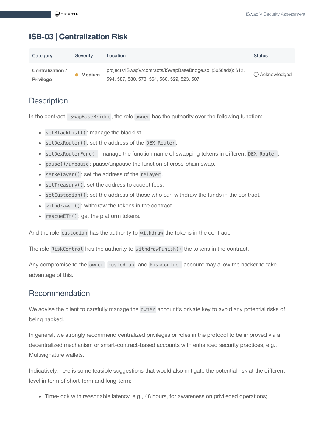### <span id="page-16-0"></span>**ISB-03 | Centralization Risk**

| Category                             | Severity      | Location                                                                                                     | <b>Status</b>    |
|--------------------------------------|---------------|--------------------------------------------------------------------------------------------------------------|------------------|
| Centralization /<br><b>Privilege</b> | <b>Medium</b> | projects/ISwapV/contracts/ISwapBaseBridge.sol (3056ada): 612,<br>594, 587, 580, 573, 564, 560, 529, 523, 507 | (i) Acknowledged |

## **Description**

In the contract ISwapBaseBridge , the role owner has the authority over the following function:

- setBlackList() : manage the blacklist.
- setDexRouter() : set the address of the DEX Router .
- setDexRouterFunc() : manage the function name of swapping tokens in different DEX Router .
- pause()/unpause : pause/unpause the function of cross-chain swap.
- setRelayer() : set the address of the relayer .
- setTreasury() : set the address to accept fees.
- setCustodian() : set the address of those who can withdraw the funds in the contract.
- withdrawal() : withdraw the tokens in the contract.
- rescueETH() : get the platform tokens.

And the role custodian has the authority to withdraw the tokens in the contract.

The role RiskControl has the authority to withdrawPunish() the tokens in the contract.

Any compromise to the owner , custodian , and RiskControl account may allow the hacker to take advantage of this.

#### Recommendation

We advise the client to carefully manage the owner account's private key to avoid any potential risks of being hacked.

In general, we strongly recommend centralized privileges or roles in the protocol to be improved via a decentralized mechanism or smart-contract-based accounts with enhanced security practices, e.g., Multisignature wallets.

Indicatively, here is some feasible suggestions that would also mitigate the potential risk at the different level in term of short-term and long-term:

• Time-lock with reasonable latency, e.g., 48 hours, for awareness on privileged operations;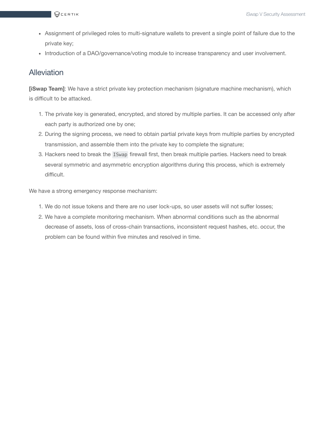- Assignment of privileged roles to multi-signature wallets to prevent a single point of failure due to the private key;
- Introduction of a DAO/governance/voting module to increase transparency and user involvement.

#### **Alleviation**

**[iSwap Team]**: We have a strict private key protection mechanism (signature machine mechanism), which is difficult to be attacked.

- 1. The private key is generated, encrypted, and stored by multiple parties. It can be accessed only after each party is authorized one by one;
- 2. During the signing process, we need to obtain partial private keys from multiple parties by encrypted transmission, and assemble them into the private key to complete the signature;
- 3. Hackers need to break the ISwap firewall first, then break multiple parties. Hackers need to break several symmetric and asymmetric encryption algorithms during this process, which is extremely difficult.

We have a strong emergency response mechanism:

- 1. We do not issue tokens and there are no user lock-ups, so user assets will not suffer losses;
- 2. We have a complete monitoring mechanism. When abnormal conditions such as the abnormal decrease of assets, loss of cross-chain transactions, inconsistent request hashes, etc. occur, the problem can be found within five minutes and resolved in time.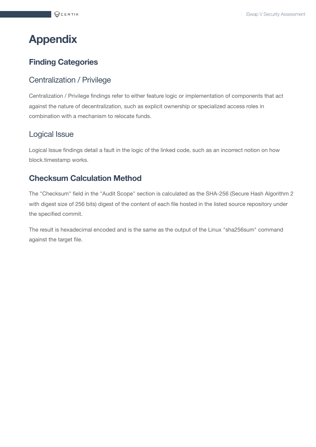# <span id="page-18-0"></span>**Appendix**

# **Finding Categories**

#### Centralization / Privilege

Centralization / Privilege findings refer to either feature logic or implementation of components that act against the nature of decentralization, such as explicit ownership or specialized access roles in combination with a mechanism to relocate funds.

#### Logical Issue

Logical Issue findings detail a fault in the logic of the linked code, such as an incorrect notion on how block.timestamp works.

## **Checksum Calculation Method**

The "Checksum" field in the "Audit Scope" section is calculated as the SHA-256 (Secure Hash Algorithm 2 with digest size of 256 bits) digest of the content of each file hosted in the listed source repository under the specified commit.

The result is hexadecimal encoded and is the same as the output of the Linux "sha256sum" command against the target file.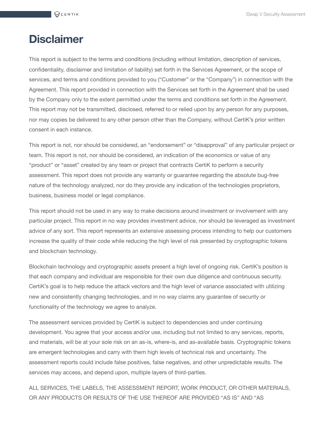# <span id="page-19-0"></span>**Disclaimer**

This report is subject to the terms and conditions (including without limitation, description of services, confidentiality, disclaimer and limitation of liability) set forth in the Services Agreement, or the scope of services, and terms and conditions provided to you ("Customer" or the "Company") in connection with the Agreement. This report provided in connection with the Services set forth in the Agreement shall be used by the Company only to the extent permitted under the terms and conditions set forth in the Agreement. This report may not be transmitted, disclosed, referred to or relied upon by any person for any purposes, nor may copies be delivered to any other person other than the Company, without CertiK's prior written consent in each instance.

This report is not, nor should be considered, an "endorsement" or "disapproval" of any particular project or team. This report is not, nor should be considered, an indication of the economics or value of any "product" or "asset" created by any team or project that contracts CertiK to perform a security assessment. This report does not provide any warranty or guarantee regarding the absolute bug-free nature of the technology analyzed, nor do they provide any indication of the technologies proprietors, business, business model or legal compliance.

This report should not be used in any way to make decisions around investment or involvement with any particular project. This report in no way provides investment advice, nor should be leveraged as investment advice of any sort. This report represents an extensive assessing process intending to help our customers increase the quality of their code while reducing the high level of risk presented by cryptographic tokens and blockchain technology.

Blockchain technology and cryptographic assets present a high level of ongoing risk. CertiK's position is that each company and individual are responsible for their own due diligence and continuous security. CertiK's goal is to help reduce the attack vectors and the high level of variance associated with utilizing new and consistently changing technologies, and in no way claims any guarantee of security or functionality of the technology we agree to analyze.

The assessment services provided by CertiK is subject to dependencies and under continuing development. You agree that your access and/or use, including but not limited to any services, reports, and materials, will be at your sole risk on an as-is, where-is, and as-available basis. Cryptographic tokens are emergent technologies and carry with them high levels of technical risk and uncertainty. The assessment reports could include false positives, false negatives, and other unpredictable results. The services may access, and depend upon, multiple layers of third-parties.

ALL SERVICES, THE LABELS, THE ASSESSMENT REPORT, WORK PRODUCT, OR OTHER MATERIALS, OR ANY PRODUCTS OR RESULTS OF THE USE THEREOF ARE PROVIDED "AS IS" AND "AS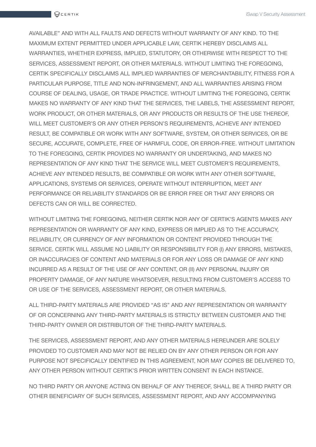AVAILABLE" AND WITH ALL FAULTS AND DEFECTS WITHOUT WARRANTY OF ANY KIND. TO THE MAXIMUM EXTENT PERMITTED UNDER APPLICABLE LAW, CERTIK HEREBY DISCLAIMS ALL WARRANTIES, WHETHER EXPRESS, IMPLIED, STATUTORY, OR OTHERWISE WITH RESPECT TO THE SERVICES, ASSESSMENT REPORT, OR OTHER MATERIALS. WITHOUT LIMITING THE FOREGOING, CERTIK SPECIFICALLY DISCLAIMS ALL IMPLIED WARRANTIES OF MERCHANTABILITY, FITNESS FOR A PARTICULAR PURPOSE, TITLE AND NON-INFRINGEMENT, AND ALL WARRANTIES ARISING FROM COURSE OF DEALING, USAGE, OR TRADE PRACTICE. WITHOUT LIMITING THE FOREGOING, CERTIK MAKES NO WARRANTY OF ANY KIND THAT THE SERVICES, THE LABELS, THE ASSESSMENT REPORT, WORK PRODUCT, OR OTHER MATERIALS, OR ANY PRODUCTS OR RESULTS OF THE USE THEREOF, WILL MEET CUSTOMER'S OR ANY OTHER PERSON'S REQUIREMENTS, ACHIEVE ANY INTENDED RESULT, BE COMPATIBLE OR WORK WITH ANY SOFTWARE, SYSTEM, OR OTHER SERVICES, OR BE SECURE, ACCURATE, COMPLETE, FREE OF HARMFUL CODE, OR ERROR-FREE. WITHOUT LIMITATION TO THE FOREGOING, CERTIK PROVIDES NO WARRANTY OR UNDERTAKING, AND MAKES NO REPRESENTATION OF ANY KIND THAT THE SERVICE WILL MEET CUSTOMER'S REQUIREMENTS, ACHIEVE ANY INTENDED RESULTS, BE COMPATIBLE OR WORK WITH ANY OTHER SOFTWARE, APPLICATIONS, SYSTEMS OR SERVICES, OPERATE WITHOUT INTERRUPTION, MEET ANY PERFORMANCE OR RELIABILITY STANDARDS OR BE ERROR FREE OR THAT ANY ERRORS OR DEFECTS CAN OR WILL BE CORRECTED.

WITHOUT LIMITING THE FOREGOING, NEITHER CERTIK NOR ANY OF CERTIK'S AGENTS MAKES ANY REPRESENTATION OR WARRANTY OF ANY KIND, EXPRESS OR IMPLIED AS TO THE ACCURACY, RELIABILITY, OR CURRENCY OF ANY INFORMATION OR CONTENT PROVIDED THROUGH THE SERVICE. CERTIK WILL ASSUME NO LIABILITY OR RESPONSIBILITY FOR (I) ANY ERRORS, MISTAKES, OR INACCURACIES OF CONTENT AND MATERIALS OR FOR ANY LOSS OR DAMAGE OF ANY KIND INCURRED AS A RESULT OF THE USE OF ANY CONTENT, OR (II) ANY PERSONAL INJURY OR PROPERTY DAMAGE, OF ANY NATURE WHATSOEVER, RESULTING FROM CUSTOMER'S ACCESS TO OR USE OF THE SERVICES, ASSESSMENT REPORT, OR OTHER MATERIALS.

ALL THIRD-PARTY MATERIALS ARE PROVIDED "AS IS" AND ANY REPRESENTATION OR WARRANTY OF OR CONCERNING ANY THIRD-PARTY MATERIALS IS STRICTLY BETWEEN CUSTOMER AND THE THIRD-PARTY OWNER OR DISTRIBUTOR OF THE THIRD-PARTY MATERIALS.

THE SERVICES, ASSESSMENT REPORT, AND ANY OTHER MATERIALS HEREUNDER ARE SOLELY PROVIDED TO CUSTOMER AND MAY NOT BE RELIED ON BY ANY OTHER PERSON OR FOR ANY PURPOSE NOT SPECIFICALLY IDENTIFIED IN THIS AGREEMENT, NOR MAY COPIES BE DELIVERED TO, ANY OTHER PERSON WITHOUT CERTIK'S PRIOR WRITTEN CONSENT IN EACH INSTANCE.

NO THIRD PARTY OR ANYONE ACTING ON BEHALF OF ANY THEREOF, SHALL BE A THIRD PARTY OR OTHER BENEFICIARY OF SUCH SERVICES, ASSESSMENT REPORT, AND ANY ACCOMPANYING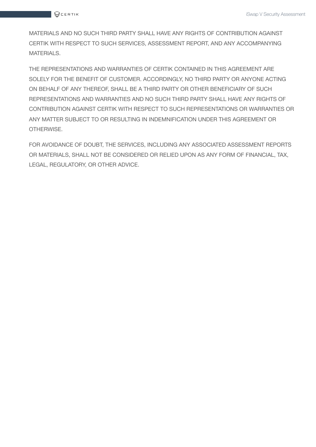MATERIALS AND NO SUCH THIRD PARTY SHALL HAVE ANY RIGHTS OF CONTRIBUTION AGAINST CERTIK WITH RESPECT TO SUCH SERVICES, ASSESSMENT REPORT, AND ANY ACCOMPANYING MATERIALS.

THE REPRESENTATIONS AND WARRANTIES OF CERTIK CONTAINED IN THIS AGREEMENT ARE SOLELY FOR THE BENEFIT OF CUSTOMER. ACCORDINGLY, NO THIRD PARTY OR ANYONE ACTING ON BEHALF OF ANY THEREOF, SHALL BE A THIRD PARTY OR OTHER BENEFICIARY OF SUCH REPRESENTATIONS AND WARRANTIES AND NO SUCH THIRD PARTY SHALL HAVE ANY RIGHTS OF CONTRIBUTION AGAINST CERTIK WITH RESPECT TO SUCH REPRESENTATIONS OR WARRANTIES OR ANY MATTER SUBJECT TO OR RESULTING IN INDEMNIFICATION UNDER THIS AGREEMENT OR OTHERWISE.

FOR AVOIDANCE OF DOUBT, THE SERVICES, INCLUDING ANY ASSOCIATED ASSESSMENT REPORTS OR MATERIALS, SHALL NOT BE CONSIDERED OR RELIED UPON AS ANY FORM OF FINANCIAL, TAX, LEGAL, REGULATORY, OR OTHER ADVICE.